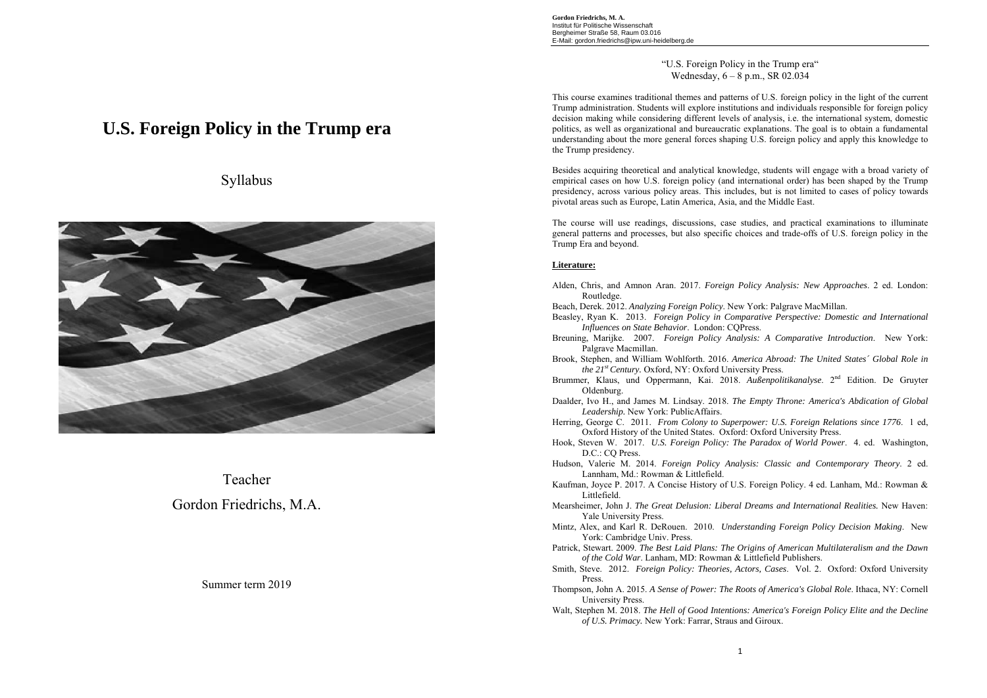**Gordon Friedrichs, M. A.**  Institut für Politische Wissenschaft Bergheimer Straße 58, Raum 03.016 E-Mail: gordon.friedrichs@ipw.uni-heidelberg.de

> "U.S. Foreign Policy in the Trump era" Wednesday, 6 – 8 p.m., SR 02.034

This course examines traditional themes and patterns of U.S. foreign policy in the light of the current Trump administration. Students will explore institutions and individuals responsible for foreign policy decision making while considering different levels of analysis, i.e. the international system, domestic politics, as well as organizational and bureaucratic explanations. The goal is to obtain a fundamental understanding about the more general forces shaping U.S. foreign policy and apply this knowledge to the Trump presidency.

Besides acquiring theoretical and analytical knowledge, students will engage with a broad variety of empirical cases on how U.S. foreign policy (and international order) has been shaped by the Trump presidency, across various policy areas. This includes, but is not limited to cases of policy towards pivotal areas such as Europe, Latin America, Asia, and the Middle East.

The course will use readings, discussions, case studies, and practical examinations to illuminate general patterns and processes, but also specific choices and trade-offs of U.S. foreign policy in the Trump Era and beyond.

### **Literature:**

- Alden, Chris, and Amnon Aran. 2017. *Foreign Policy Analysis: New Approaches*. 2 ed. London: Routledge.
- Beach, Derek. 2012. *Analyzing Foreign Policy*. New York: Palgrave MacMillan.
- Beasley, Ryan K. 2013. *Foreign Policy in Comparative Perspective: Domestic and International Influences on State Behavior*. London: CQPress.
- Breuning, Marijke. 2007. *Foreign Policy Analysis: A Comparative Introduction*. New York: Palgrave Macmillan.
- Brook, Stephen, and William Wohlforth. 2016. *America Abroad: The United States´ Global Role in the 21st Century.* Oxford, NY: Oxford University Press.
- Brummer, Klaus, und Oppermann, Kai. 2018. *Außenpolitikanalyse*. 2nd Edition. De Gruyter Oldenburg.
- Daalder, Ivo H., and James M. Lindsay. 2018. *The Empty Throne: America's Abdication of Global Leadership.* New York: PublicAffairs.
- Herring, George C. 2011. *From Colony to Superpower: U.S. Foreign Relations since 1776*. 1 ed, Oxford History of the United States. Oxford: Oxford University Press.
- Hook, Steven W. 2017. *U.S. Foreign Policy: The Paradox of World Power*. 4. ed. Washington, D.C.: CQ Press.
- Hudson, Valerie M. 2014. *Foreign Policy Analysis: Classic and Contemporary Theory*. 2 ed. Lannham, Md.: Rowman & Littlefield.
- Kaufman, Joyce P. 2017. A Concise History of U.S. Foreign Policy. 4 ed. Lanham, Md.: Rowman & Littlefield.
- Mearsheimer, John J. *The Great Delusion: Liberal Dreams and International Realities.* New Haven: Yale University Press.
- Mintz, Alex, and Karl R. DeRouen. 2010. *Understanding Foreign Policy Decision Making*. New York: Cambridge Univ. Press.
- Patrick, Stewart. 2009. *The Best Laid Plans: The Origins of American Multilateralism and the Dawn of the Cold War*. Lanham, MD: Rowman & Littlefield Publishers.
- Smith, Steve. 2012. *Foreign Policy: Theories, Actors, Cases*. Vol. 2. Oxford: Oxford University Press.
- Thompson, John A. 2015. *A Sense of Power: The Roots of America's Global Role*. Ithaca, NY: Cornell University Press.
- Walt, Stephen M. 2018. *The Hell of Good Intentions: America's Foreign Policy Elite and the Decline of U.S. Primacy.* New York: Farrar, Straus and Giroux.

# **U.S. Foreign Policy in the Trump era**





Teacher Gordon Friedrichs, M.A.

# Summer term 2019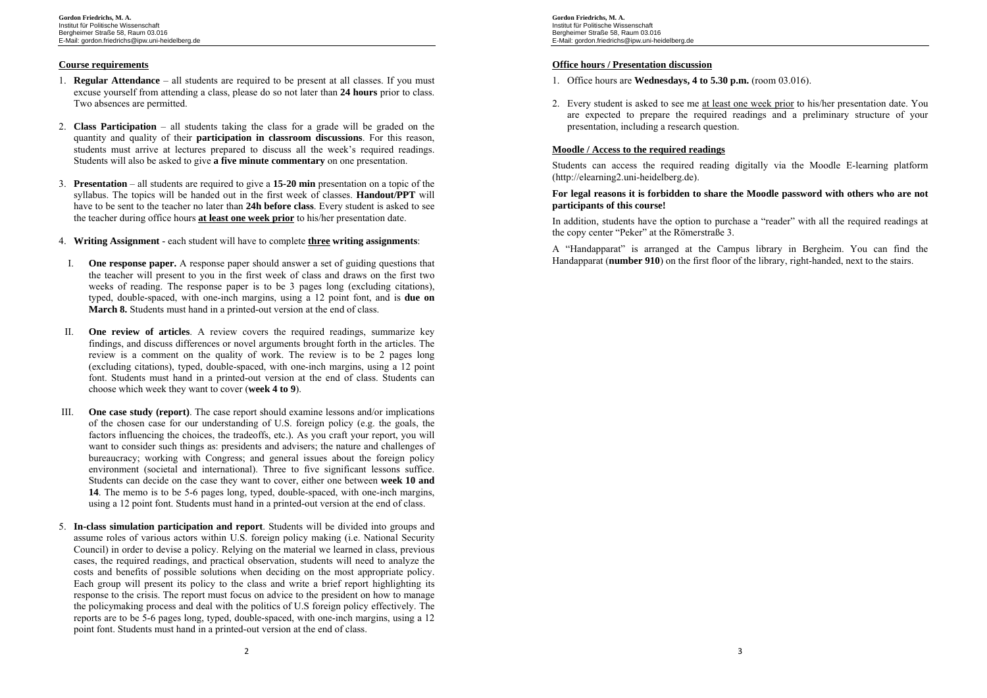# **Course requirements**

- 1. **Regular Attendance** all students are required to be present at all classes. If you must excuse yourself from attending a class, please do so not later than **24 hours** prior to class. Two absences are permitted.
- 2. **Class Participation** all students taking the class for a grade will be graded on the quantity and quality of their **participation in classroom discussions**. For this reason, students must arrive at lectures prepared to discuss all the week's required readings. Students will also be asked to give **a five minute commentary** on one presentation.
- 3. **Presentation** all students are required to give a **15-20 min** presentation on a topic of the syllabus. The topics will be handed out in the first week of classes. **Handout/PPT** will have to be sent to the teacher no later than **24h before class**. Every student is asked to see the teacher during office hours **at least one week prior** to his/her presentation date.
- 4. **Writing Assignment**  each student will have to complete **three writing assignments**:
- I. **One response paper.** A response paper should answer a set of guiding questions that the teacher will present to you in the first week of class and draws on the first two weeks of reading. The response paper is to be 3 pages long (excluding citations), typed, double-spaced, with one-inch margins, using a 12 point font, and is **due on March 8.** Students must hand in a printed-out version at the end of class.
- II. **One review of articles**. A review covers the required readings, summarize key findings, and discuss differences or novel arguments brought forth in the articles. The review is a comment on the quality of work. The review is to be 2 pages long (excluding citations), typed, double-spaced, with one-inch margins, using a 12 point font. Students must hand in a printed-out version at the end of class. Students can choose which week they want to cover (**week 4 to 9**).
- III. **One case study (report)**. The case report should examine lessons and/or implications of the chosen case for our understanding of U.S. foreign policy (e.g. the goals, the factors influencing the choices, the tradeoffs, etc.)*.* As you craft your report, you will want to consider such things as: presidents and advisers; the nature and challenges of bureaucracy; working with Congress; and general issues about the foreign policy environment (societal and international). Three to five significant lessons suffice. Students can decide on the case they want to cover, either one between **week 10 and 14**. The memo is to be 5-6 pages long, typed, double-spaced, with one-inch margins, using a 12 point font. Students must hand in a printed-out version at the end of class.
- 5. **In-class simulation participation and report**. Students will be divided into groups and assume roles of various actors within U.S. foreign policy making (i.e. National Security Council) in order to devise a policy. Relying on the material we learned in class, previous cases, the required readings, and practical observation, students will need to analyze the costs and benefits of possible solutions when deciding on the most appropriate policy. Each group will present its policy to the class and write a brief report highlighting its response to the crisis. The report must focus on advice to the president on how to manage the policymaking process and deal with the politics of U.S foreign policy effectively. The reports are to be 5-6 pages long, typed, double-spaced, with one-inch margins, using a 12 point font. Students must hand in a printed-out version at the end of class.

**Gordon Friedrichs, M. A.**  Institut für Politische Wissenschaft Bergheimer Straße 58, Raum 03.016 E-Mail: gordon.friedrichs@ipw.uni-heidelberg.de

# **Office hours / Presentation discussion**

- 1. Office hours are **Wednesdays, 4 to 5.30 p.m.** (room 03.016).
- 2. Every student is asked to see me <u>at least one week prior</u> to his/her presentation date. You are expected to prepare the required readings and a preliminary structure of your presentation, including a research question.

# **Moodle / Access to the required readings**

Students can access the required reading digitally via the Moodle E-learning platform (http://elearning2.uni-heidelberg.de).

# **For legal reasons it is forbidden to share the Moodle password with others who are not participants of this course!**

In addition, students have the option to purchase a "reader" with all the required readings at the copy center "Peker" at the Römerstraße 3.

A "Handapparat" is arranged at the Campus library in Bergheim. You can find the Handapparat (**number 910**) on the first floor of the library, right-handed, next to the stairs.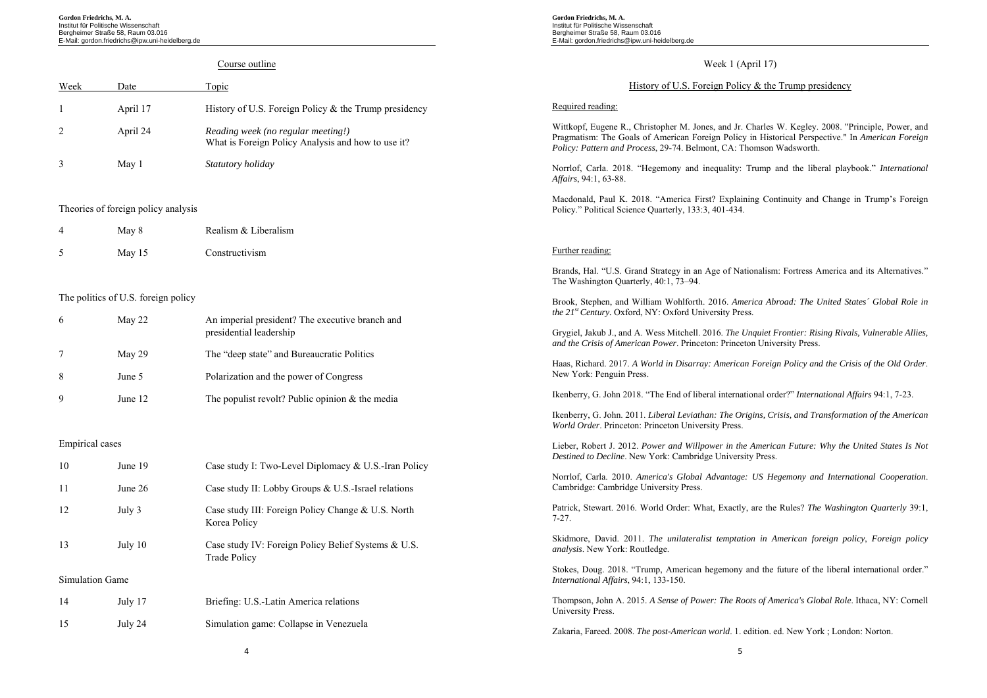**Gordon Friedrichs, M. A.**  Institut für Politische Wissenschaft Bergheimer Straße 58, Raum 03.016 E-Mail: gordon.friedrichs@ipw.uni-heidelberg.de

#### Course outline Week Date Topic 1 April 17 History of U.S. Foreign Policy & the Trump presidency 2 April 24 *Reading week (no regular meeting!)*  What is Foreign Policy Analysis and how to use it? 3 May 1 *Statutory holiday* Theories of foreign policy analysis 4 May 8 Realism & Liberalism 5 May 15 Constructivism The politics of U.S. foreign policy 6 May 22 An imperial president? The executive branch and presidential leadership 7 May 29 The "deep state" and Bureaucratic Politics 8 June 5 Polarization and the power of Congress 9 June 12 The populist revolt? Public opinion & the media Empirical cases 10 June 19 Case study I: Two-Level Diplomacy & U.S.-Iran Policy 11 June 26 Case study II: Lobby Groups & U.S.-Israel relations 12 July 3 Case study III: Foreign Policy Change & U.S. North Korea Policy 13 July 10 Case study IV: Foreign Policy Belief Systems & U.S. Trade Policy Simulation Game 14 July 17 Briefing: U.S.-Latin America relations 15 July 24 Simulation game: Collapse in Venezuela Week 1 (April 17) History of U.S. Foreign Policy  $\&$  the Trump presidency Required reading: Wittkopf, Eugene R., Christopher M. Jones, and Jr. Charles W. Kegley. 2008. "Principle, Power, and Pragmatism: The Goals of American Foreign Policy in Historical Perspective." In *American Foreign Policy: Pattern and Process*, 29-74. Belmont, CA: Thomson Wadsworth. Norrlof, Carla. 2018. "Hegemony and inequality: Trump and the liberal playbook." *International Affairs*, 94:1, 63-88. Macdonald, Paul K. 2018. "America First? Explaining Continuity and Change in Trump's Foreign Policy." Political Science Quarterly, 133:3, 401-434. Further reading: Brands, Hal. "U.S. Grand Strategy in an Age of Nationalism: Fortress America and its Alternatives." The Washington Quarterly, 40:1, 73–94. Brook, Stephen, and William Wohlforth. 2016. *America Abroad: The United States´ Global Role in the 21st Century.* Oxford, NY: Oxford University Press. Grygiel, Jakub J., and A. Wess Mitchell. 2016. *The Unquiet Frontier: Rising Rivals, Vulnerable Allies, and the Crisis of American Power*. Princeton: Princeton University Press. Haas, Richard. 2017. *A World in Disarray: American Foreign Policy and the Crisis of the Old Order*. New York: Penguin Press. Ikenberry, G. John 2018. "The End of liberal international order?" *International Affairs* 94:1, 7-23. Ikenberry, G. John. 2011. *Liberal Leviathan: The Origins, Crisis, and Transformation of the American World Order*. Princeton: Princeton University Press. Lieber, Robert J. 2012. *Power and Willpower in the American Future: Why the United States Is Not Destined to Decline*. New York: Cambridge University Press. Norrlof, Carla. 2010. *America's Global Advantage: US Hegemony and International Cooperation*. Cambridge: Cambridge University Press. Patrick, Stewart. 2016. World Order: What, Exactly, are the Rules? *The Washington Quarterly* 39:1, 7-27. Skidmore, David. 2011. *The unilateralist temptation in American foreign policy*, *Foreign policy analysis*. New York: Routledge. Stokes, Doug. 2018. "Trump, American hegemony and the future of the liberal international order." *International Affairs*, 94:1, 133-150. Thompson, John A. 2015. *A Sense of Power: The Roots of America's Global Role*. Ithaca, NY: Cornell University Press. Zakaria, Fareed. 2008. *The post-American world*. 1. edition. ed. New York ; London: Norton.

**Gordon Friedrichs, M. A.**  Institut für Politische Wissenschaft Bergheimer Straße 58, Raum 03.016 E-Mail: gordon.friedrichs@ipw.uni-heidelberg.de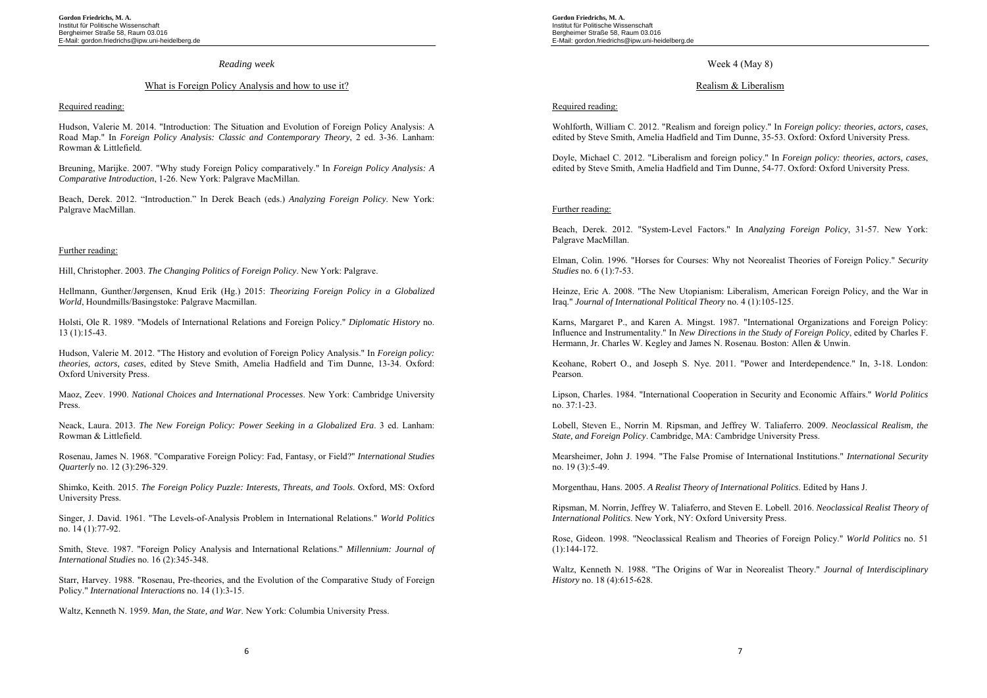#### *Reading week*

#### What is Foreign Policy Analysis and how to use it?

#### Required reading:

Hudson, Valerie M. 2014. "Introduction: The Situation and Evolution of Foreign Policy Analysis: A Road Map." In *Foreign Policy Analysis: Classic and Contemporary Theory*, 2 ed. 3-36. Lanham: Rowman & Littlefield.

Breuning, Marijke. 2007. "Why study Foreign Policy comparatively." In *Foreign Policy Analysis: A Comparative Introduction*, 1-26. New York: Palgrave MacMillan.

Beach, Derek. 2012. "Introduction." In Derek Beach (eds.) *Analyzing Foreign Policy*. New York: Palgrave MacMillan.

#### Further reading:

Hill, Christopher. 2003. *The Changing Politics of Foreign Policy*. New York: Palgrave.

Hellmann, Gunther/Jørgensen, Knud Erik (Hg.) 2015: *Theorizing Foreign Policy in a Globalized World*, Houndmills/Basingstoke: Palgrave Macmillan.

Holsti, Ole R. 1989. "Models of International Relations and Foreign Policy." *Diplomatic History* no. 13 (1):15-43.

Hudson, Valerie M. 2012. "The History and evolution of Foreign Policy Analysis." In *Foreign policy: theories, actors, cases*, edited by Steve Smith, Amelia Hadfield and Tim Dunne, 13-34. Oxford: Oxford University Press.

Maoz, Zeev. 1990. *National Choices and International Processes*. New York: Cambridge University Press.

Neack, Laura. 2013. *The New Foreign Policy: Power Seeking in a Globalized Era*. 3 ed. Lanham: Rowman & Littlefield.

Rosenau, James N. 1968. "Comparative Foreign Policy: Fad, Fantasy, or Field?" *International Studies Quarterly* no. 12 (3):296-329.

Shimko, Keith. 2015. *The Foreign Policy Puzzle: Interests, Threats, and Tools*. Oxford, MS: Oxford University Press.

Singer, J. David. 1961. "The Levels-of-Analysis Problem in International Relations." *World Politics* no. 14 (1):77-92.

Smith, Steve. 1987. "Foreign Policy Analysis and International Relations." *Millennium: Journal of International Studies* no. 16 (2):345-348.

Starr, Harvey. 1988. "Rosenau, Pre-theories, and the Evolution of the Comparative Study of Foreign Policy." *International Interactions* no. 14 (1):3-15.

Waltz, Kenneth N. 1959. *Man, the State, and War*. New York: Columbia University Press.

**Gordon Friedrichs, M. A.**  Institut für Politische Wissenschaft Bergheimer Straße 58, Raum 03.016 E-Mail: gordon.friedrichs@ipw.uni-heidelberg.de

# Week 4 (May 8)

### Realism & Liberalism

### Required reading:

Wohlforth, William C. 2012. "Realism and foreign policy." In *Foreign policy: theories, actors, cases*, edited by Steve Smith, Amelia Hadfield and Tim Dunne, 35-53. Oxford: Oxford University Press.

Doyle, Michael C. 2012. "Liberalism and foreign policy." In *Foreign policy: theories, actors, cases*, edited by Steve Smith, Amelia Hadfield and Tim Dunne, 54-77. Oxford: Oxford University Press.

#### Further reading:

Beach, Derek. 2012. "System-Level Factors." In *Analyzing Foreign Policy*, 31-57. New York: Palgrave MacMillan.

Elman, Colin. 1996. "Horses for Courses: Why not Neorealist Theories of Foreign Policy." *Security Studies* no. 6 (1):7-53.

Heinze, Eric A. 2008. "The New Utopianism: Liberalism, American Foreign Policy, and the War in Iraq." *Journal of International Political Theory* no. 4 (1):105-125.

Karns, Margaret P., and Karen A. Mingst. 1987. "International Organizations and Foreign Policy: Influence and Instrumentality." In *New Directions in the Study of Foreign Policy*, edited by Charles F. Hermann, Jr. Charles W. Kegley and James N. Rosenau. Boston: Allen & Unwin.

Keohane, Robert O., and Joseph S. Nye. 2011. "Power and Interdependence." In, 3-18. London: Pearson.

Lipson, Charles. 1984. "International Cooperation in Security and Economic Affairs." *World Politics* no. 37:1-23.

Lobell, Steven E., Norrin M. Ripsman, and Jeffrey W. Taliaferro. 2009. *Neoclassical Realism, the State, and Foreign Policy*. Cambridge, MA: Cambridge University Press.

Mearsheimer, John J. 1994. "The False Promise of International Institutions." *International Security* no. 19 (3):5-49.

Morgenthau, Hans. 2005. *A Realist Theory of International Politics*. Edited by Hans J.

Ripsman, M. Norrin, Jeffrey W. Taliaferro, and Steven E. Lobell. 2016. *Neoclassical Realist Theory of International Politics*. New York, NY: Oxford University Press.

Rose, Gideon. 1998. "Neoclassical Realism and Theories of Foreign Policy." *World Politics* no. 51  $(1):144-172.$ 

Waltz, Kenneth N. 1988. "The Origins of War in Neorealist Theory." *Journal of Interdisciplinary History* no. 18 (4):615-628.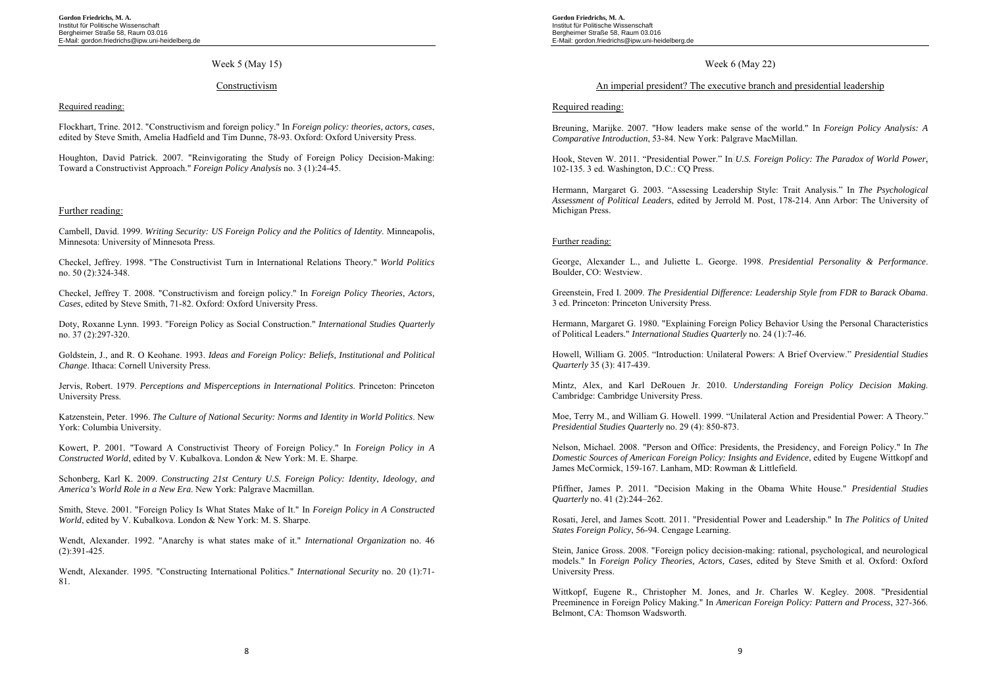# Week 5 (May 15)

#### Constructivism

#### Required reading:

Flockhart, Trine. 2012. "Constructivism and foreign policy." In *Foreign policy: theories, actors, cases*, edited by Steve Smith, Amelia Hadfield and Tim Dunne, 78-93. Oxford: Oxford University Press.

Houghton, David Patrick. 2007. "Reinvigorating the Study of Foreign Policy Decision-Making: Toward a Constructivist Approach." *Foreign Policy Analysis* no. 3 (1):24-45.

### Further reading:

Cambell, David. 1999. *Writing Security: US Foreign Policy and the Politics of Identity*. Minneapolis, Minnesota: University of Minnesota Press.

Checkel, Jeffrey. 1998. "The Constructivist Turn in International Relations Theory." *World Politics* no. 50 (2):324-348.

Checkel, Jeffrey T. 2008. "Constructivism and foreign policy." In *Foreign Policy Theories, Actors, Cases*, edited by Steve Smith, 71-82. Oxford: Oxford University Press.

Doty, Roxanne Lynn. 1993. "Foreign Policy as Social Construction." *International Studies Quarterly* no. 37 (2):297-320.

Goldstein, J., and R. O Keohane. 1993. *Ideas and Foreign Policy: Beliefs, Institutional and Political Change*. Ithaca: Cornell University Press.

Jervis, Robert. 1979. *Perceptions and Misperceptions in International Politics*. Princeton: Princeton University Press.

Katzenstein, Peter. 1996. *The Culture of National Security: Norms and Identity in World Politics*. New York: Columbia University.

Kowert, P. 2001. "Toward A Constructivist Theory of Foreign Policy." In *Foreign Policy in A Constructed World*, edited by V. Kubalkova. London & New York: M. E. Sharpe.

Schonberg, Karl K. 2009. *Constructing 21st Century U.S. Foreign Policy: Identity, Ideology, and America's World Role in a New Era*. New York: Palgrave Macmillan.

Smith, Steve. 2001. "Foreign Policy Is What States Make of It." In *Foreign Policy in A Constructed World*, edited by V. Kubalkova. London & New York: M. S. Sharpe.

Wendt, Alexander. 1992. "Anarchy is what states make of it." *International Organization* no. 46 (2):391-425.

Wendt, Alexander. 1995. "Constructing International Politics." *International Security* no. 20 (1):71- 81.

**Gordon Friedrichs, M. A.**  Institut für Politische Wissenschaft Bergheimer Straße 58, Raum 03.016 E-Mail: gordon.friedrichs@ipw.uni-heidelberg.de

# Week 6 (May 22)

### An imperial president? The executive branch and presidential leadership

### Required reading:

Breuning, Marijke. 2007. "How leaders make sense of the world." In *Foreign Policy Analysis: A Comparative Introduction*, 53-84. New York: Palgrave MacMillan.

Hook, Steven W. 2011. "Presidential Power." In *U.S. Foreign Policy: The Paradox of World Power*, 102-135. 3 ed. Washington, D.C.: CQ Press.

Hermann, Margaret G. 2003. "Assessing Leadership Style: Trait Analysis." In *The Psychological Assessment of Political Leaders*, edited by Jerrold M. Post, 178-214. Ann Arbor: The University of Michigan Press.

### Further reading:

George, Alexander L., and Juliette L. George. 1998. *Presidential Personality & Performance*. Boulder, CO: Westview.

Greenstein, Fred I. 2009. *The Presidential Difference: Leadership Style from FDR to Barack Obama*. 3 ed. Princeton: Princeton University Press.

Hermann, Margaret G. 1980. "Explaining Foreign Policy Behavior Using the Personal Characteristics of Political Leaders." *International Studies Quarterly* no. 24 (1):7-46.

Howell, William G. 2005. "Introduction: Unilateral Powers: A Brief Overview." *Presidential Studies Quarterly* 35 (3): 417-439.

Mintz, Alex, and Karl DeRouen Jr. 2010. *Understanding Foreign Policy Decision Making*. Cambridge: Cambridge University Press.

Moe, Terry M., and William G. Howell. 1999. "Unilateral Action and Presidential Power: A Theory." *Presidential Studies Quarterly* no. 29 (4): 850-873.

Nelson, Michael. 2008. "Person and Office: Presidents, the Presidency, and Foreign Policy." In *The Domestic Sources of American Foreign Policy: Insights and Evidence*, edited by Eugene Wittkopf and James McCormick, 159-167. Lanham, MD: Rowman & Littlefield.

Pfiffner, James P. 2011. "Decision Making in the Obama White House." *Presidential Studies Quarterly* no. 41 (2):244–262.

Rosati, Jerel, and James Scott. 2011. "Presidential Power and Leadership." In *The Politics of United States Foreign Policy*, 56-94. Cengage Learning.

Stein, Janice Gross. 2008. "Foreign policy decision-making: rational, psychological, and neurological models." In *Foreign Policy Theories, Actors, Cases*, edited by Steve Smith et al. Oxford: Oxford University Press.

Wittkopf, Eugene R., Christopher M. Jones, and Jr. Charles W. Kegley. 2008. "Presidential Preeminence in Foreign Policy Making." In *American Foreign Policy: Pattern and Process*, 327-366. Belmont, CA: Thomson Wadsworth.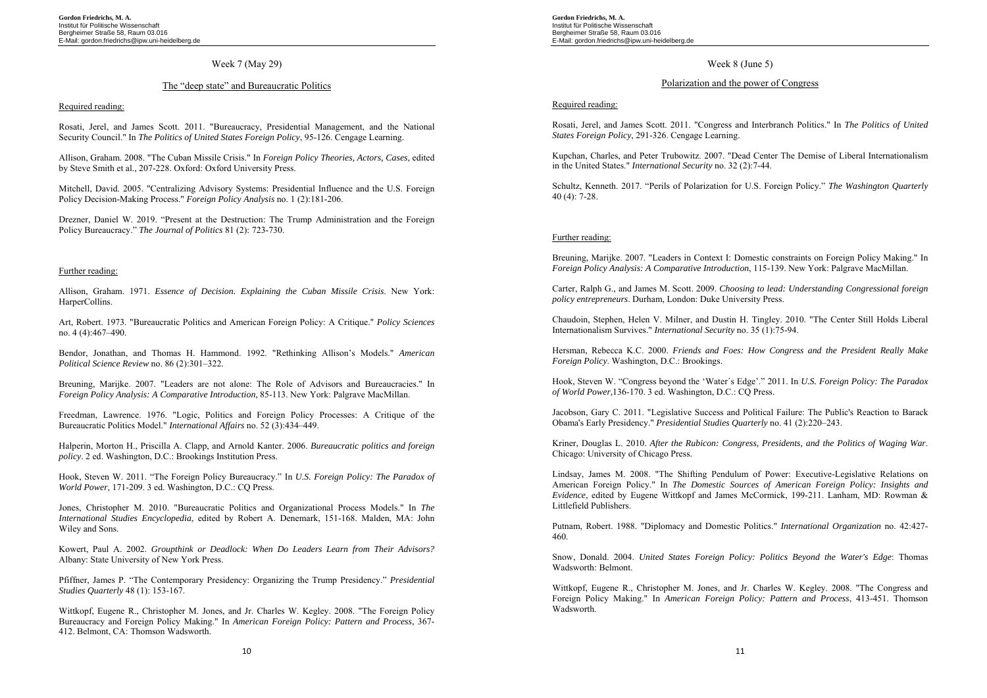### Week 7 (May 29)

### The "deep state" and Bureaucratic Politics

#### Required reading:

Rosati, Jerel, and James Scott. 2011. "Bureaucracy, Presidential Management, and the National Security Council." In *The Politics of United States Foreign Policy*, 95-126. Cengage Learning.

Allison, Graham. 2008. "The Cuban Missile Crisis." In *Foreign Policy Theories, Actors, Cases*, edited by Steve Smith et al., 207-228. Oxford: Oxford University Press.

Mitchell, David. 2005. "Centralizing Advisory Systems: Presidential Influence and the U.S. Foreign Policy Decision-Making Process." *Foreign Policy Analysis* no. 1 (2):181-206.

Drezner, Daniel W. 2019. "Present at the Destruction: The Trump Administration and the Foreign Policy Bureaucracy." *The Journal of Politics* 81 (2): 723-730.

#### Further reading:

Allison, Graham. 1971. *Essence of Decision. Explaining the Cuban Missile Crisis*. New York: HarperCollins.

Art, Robert. 1973. "Bureaucratic Politics and American Foreign Policy: A Critique." *Policy Sciences* no. 4 (4):467–490.

Bendor, Jonathan, and Thomas H. Hammond. 1992. "Rethinking Allison's Models." *American Political Science Review* no. 86 (2):301–322.

Breuning, Marijke. 2007. "Leaders are not alone: The Role of Advisors and Bureaucracies." In *Foreign Policy Analysis: A Comparative Introduction*, 85-113. New York: Palgrave MacMillan.

Freedman, Lawrence. 1976. "Logic, Politics and Foreign Policy Processes: A Critique of the Bureaucratic Politics Model." *International Affairs* no. 52 (3):434–449.

Halperin, Morton H., Priscilla A. Clapp, and Arnold Kanter. 2006. *Bureaucratic politics and foreign policy*. 2 ed. Washington, D.C.: Brookings Institution Press.

Hook, Steven W. 2011. "The Foreign Policy Bureaucracy." In *U.S. Foreign Policy: The Paradox of World Power*, 171-209. 3 ed. Washington, D.C.: CQ Press.

Jones, Christopher M. 2010. "Bureaucratic Politics and Organizational Process Models." In *The International Studies Encyclopedia*, edited by Robert A. Denemark, 151-168. Malden, MA: John Wiley and Sons.

Kowert, Paul A. 2002. *Groupthink or Deadlock: When Do Leaders Learn from Their Advisors?* Albany: State University of New York Press.

Pfiffner, James P. "The Contemporary Presidency: Organizing the Trump Presidency." *Presidential Studies Quarterly* 48 (1): 153-167.

Wittkopf, Eugene R., Christopher M. Jones, and Jr. Charles W. Kegley. 2008. "The Foreign Policy Bureaucracy and Foreign Policy Making." In *American Foreign Policy: Pattern and Process*, 367- 412. Belmont, CA: Thomson Wadsworth.

**Gordon Friedrichs, M. A.**  Institut für Politische Wissenschaft Bergheimer Straße 58, Raum 03.016 E-Mail: gordon.friedrichs@ipw.uni-heidelberg.de

### Week 8 (June 5)

# Polarization and the power of Congress

Required reading:

Rosati, Jerel, and James Scott. 2011. "Congress and Interbranch Politics." In *The Politics of United States Foreign Policy*, 291-326. Cengage Learning.

Kupchan, Charles, and Peter Trubowitz. 2007. "Dead Center The Demise of Liberal Internationalism in the United States." *International Security* no. 32 (2):7-44.

Schultz, Kenneth. 2017. "Perils of Polarization for U.S. Foreign Policy." *The Washington Quarterly* 40 (4): 7-28.

#### Further reading:

Breuning, Marijke. 2007. "Leaders in Context I: Domestic constraints on Foreign Policy Making." In *Foreign Policy Analysis: A Comparative Introduction*, 115-139. New York: Palgrave MacMillan.

Carter, Ralph G., and James M. Scott. 2009. *Choosing to lead: Understanding Congressional foreign policy entrepreneurs*. Durham, London: Duke University Press.

Chaudoin, Stephen, Helen V. Milner, and Dustin H. Tingley. 2010. "The Center Still Holds Liberal Internationalism Survives." *International Security* no. 35 (1):75-94.

Hersman, Rebecca K.C. 2000. *Friends and Foes: How Congress and the President Really Make Foreign Policy*. Washington, D.C.: Brookings.

Hook, Steven W. "Congress beyond the 'Water´s Edge'." 2011. In *U.S. Foreign Policy: The Paradox of World Power,*136-170. 3 ed. Washington, D.C.: CQ Press.

Jacobson, Gary C. 2011. "Legislative Success and Political Failure: The Public's Reaction to Barack Obama's Early Presidency." *Presidential Studies Quarterly* no. 41 (2):220–243.

Kriner, Douglas L. 2010. *After the Rubicon: Congress, Presidents, and the Politics of Waging War*. Chicago: University of Chicago Press.

Lindsay, James M. 2008. "The Shifting Pendulum of Power: Executive-Legislative Relations on American Foreign Policy." In *The Domestic Sources of American Foreign Policy: Insights and Evidence*, edited by Eugene Wittkopf and James McCormick, 199-211. Lanham, MD: Rowman & Littlefield Publishers.

Putnam, Robert. 1988. "Diplomacy and Domestic Politics." *International Organization* no. 42:427- 460.

Snow, Donald. 2004. *United States Foreign Policy: Politics Beyond the Water's Edge*: Thomas Wadsworth: Belmont.

Wittkopf, Eugene R., Christopher M. Jones, and Jr. Charles W. Kegley. 2008. "The Congress and Foreign Policy Making." In *American Foreign Policy: Pattern and Process*, 413-451. Thomson Wadsworth.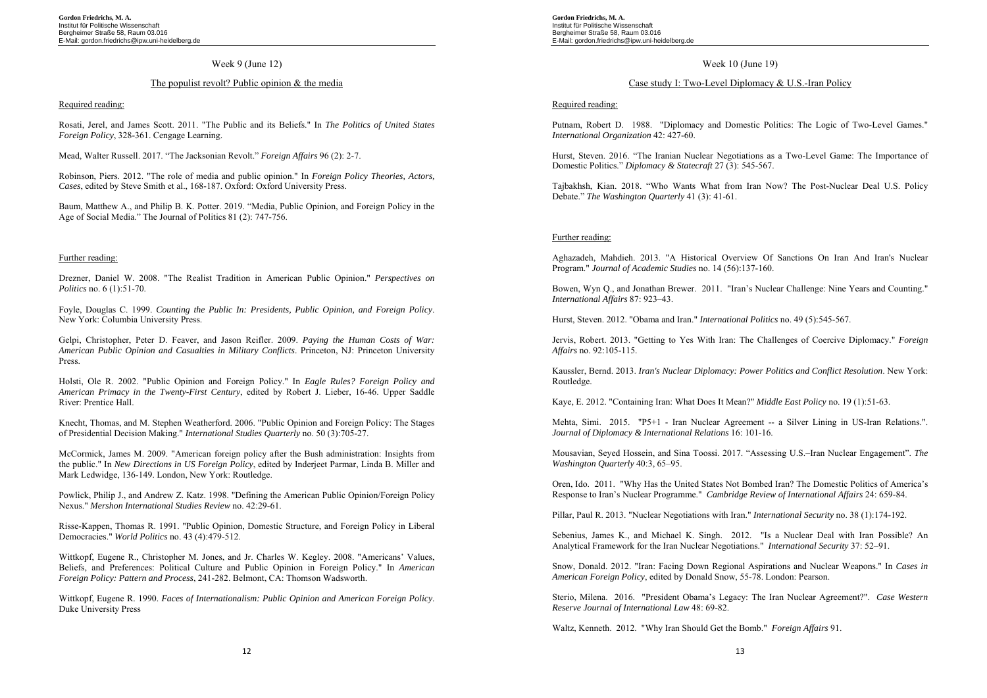# Week 9 (June 12)

# The populist revolt? Public opinion & the media

#### Required reading:

Rosati, Jerel, and James Scott. 2011. "The Public and its Beliefs." In *The Politics of United States Foreign Policy*, 328-361. Cengage Learning.

Mead, Walter Russell. 2017. "The Jacksonian Revolt." *Foreign Affairs* 96 (2): 2-7.

Robinson, Piers. 2012. "The role of media and public opinion." In *Foreign Policy Theories, Actors, Cases*, edited by Steve Smith et al., 168-187. Oxford: Oxford University Press.

Baum, Matthew A., and Philip B. K. Potter. 2019. "Media, Public Opinion, and Foreign Policy in the Age of Social Media." The Journal of Politics 81 (2): 747-756.

#### Further reading:

Drezner, Daniel W. 2008. "The Realist Tradition in American Public Opinion." *Perspectives on Politics* no. 6 (1):51-70.

Foyle, Douglas C. 1999. *Counting the Public In: Presidents, Public Opinion, and Foreign Policy*. New York: Columbia University Press.

Gelpi, Christopher, Peter D. Feaver, and Jason Reifler. 2009. *Paying the Human Costs of War: American Public Opinion and Casualties in Military Conflicts*. Princeton, NJ: Princeton University Press.

Holsti, Ole R. 2002. "Public Opinion and Foreign Policy." In *Eagle Rules? Foreign Policy and American Primacy in the Twenty-First Century*, edited by Robert J. Lieber, 16-46. Upper Saddle River: Prentice Hall.

Knecht, Thomas, and M. Stephen Weatherford. 2006. "Public Opinion and Foreign Policy: The Stages of Presidential Decision Making." *International Studies Quarterly* no. 50 (3):705-27.

McCormick, James M. 2009. "American foreign policy after the Bush administration: Insights from the public." In *New Directions in US Foreign Policy*, edited by Inderjeet Parmar, Linda B. Miller and Mark Ledwidge, 136-149. London, New York: Routledge.

Powlick, Philip J., and Andrew Z. Katz. 1998. "Defining the American Public Opinion/Foreign Policy Nexus." *Mershon International Studies Review* no. 42:29-61.

Risse-Kappen, Thomas R. 1991. "Public Opinion, Domestic Structure, and Foreign Policy in Liberal Democracies." *World Politics* no. 43 (4):479-512.

Wittkopf, Eugene R., Christopher M. Jones, and Jr. Charles W. Kegley. 2008. "Americans' Values, Beliefs, and Preferences: Political Culture and Public Opinion in Foreign Policy." In *American Foreign Policy: Pattern and Process*, 241-282. Belmont, CA: Thomson Wadsworth.

Wittkopf, Eugene R. 1990. *Faces of Internationalism: Public Opinion and American Foreign Policy*. Duke University Press

**Gordon Friedrichs, M. A.**  Institut für Politische Wissenschaft Bergheimer Straße 58, Raum 03.016 E-Mail: gordon.friedrichs@ipw.uni-heidelberg.de

# Week 10 (June 19)

# Case study I: Two-Level Diplomacy & U.S.-Iran Policy

Required reading:

Putnam, Robert D. 1988. "Diplomacy and Domestic Politics: The Logic of Two-Level Games." *International Organization* 42: 427-60.

Hurst, Steven. 2016. "The Iranian Nuclear Negotiations as a Two-Level Game: The Importance of Domestic Politics." *Diplomacy & Statecraft* 27 (3): 545-567.

Tajbakhsh, Kian. 2018. "Who Wants What from Iran Now? The Post-Nuclear Deal U.S. Policy Debate." *The Washington Quarterly* 41 (3): 41-61.

### Further reading:

Aghazadeh, Mahdieh. 2013. "A Historical Overview Of Sanctions On Iran And Iran's Nuclear Program." *Journal of Academic Studies* no. 14 (56):137-160.

Bowen, Wyn Q., and Jonathan Brewer. 2011. "Iran's Nuclear Challenge: Nine Years and Counting." *International Affairs* 87: 923–43.

Hurst, Steven. 2012. "Obama and Iran." *International Politics* no. 49 (5):545-567.

Jervis, Robert. 2013. "Getting to Yes With Iran: The Challenges of Coercive Diplomacy." *Foreign Affairs* no. 92:105-115.

Kaussler, Bernd. 2013. *Iran's Nuclear Diplomacy: Power Politics and Conflict Resolution*. New York: Routledge.

Kaye, E. 2012. "Containing Iran: What Does It Mean?" *Middle East Policy* no. 19 (1):51-63.

Mehta, Simi. 2015. "P5+1 - Iran Nuclear Agreement -- a Silver Lining in US-Iran Relations.". *Journal of Diplomacy & International Relations* 16: 101-16.

Mousavian, Seyed Hossein, and Sina Toossi. 2017. "Assessing U.S.–Iran Nuclear Engagement". *The Washington Quarterly* 40:3, 65–95.

Oren, Ido. 2011. "Why Has the United States Not Bombed Iran? The Domestic Politics of America's Response to Iran's Nuclear Programme." *Cambridge Review of International Affairs* 24: 659-84.

Pillar, Paul R. 2013. "Nuclear Negotiations with Iran." *International Security* no. 38 (1):174-192.

Sebenius, James K., and Michael K. Singh. 2012. "Is a Nuclear Deal with Iran Possible? An Analytical Framework for the Iran Nuclear Negotiations." *International Security* 37: 52–91.

Snow, Donald. 2012. "Iran: Facing Down Regional Aspirations and Nuclear Weapons." In *Cases in American Foreign Policy*, edited by Donald Snow, 55-78. London: Pearson.

Sterio, Milena. 2016. "President Obama's Legacy: The Iran Nuclear Agreement?". *Case Western Reserve Journal of International Law* 48: 69-82.

Waltz, Kenneth. 2012. "Why Iran Should Get the Bomb." *Foreign Affairs* 91.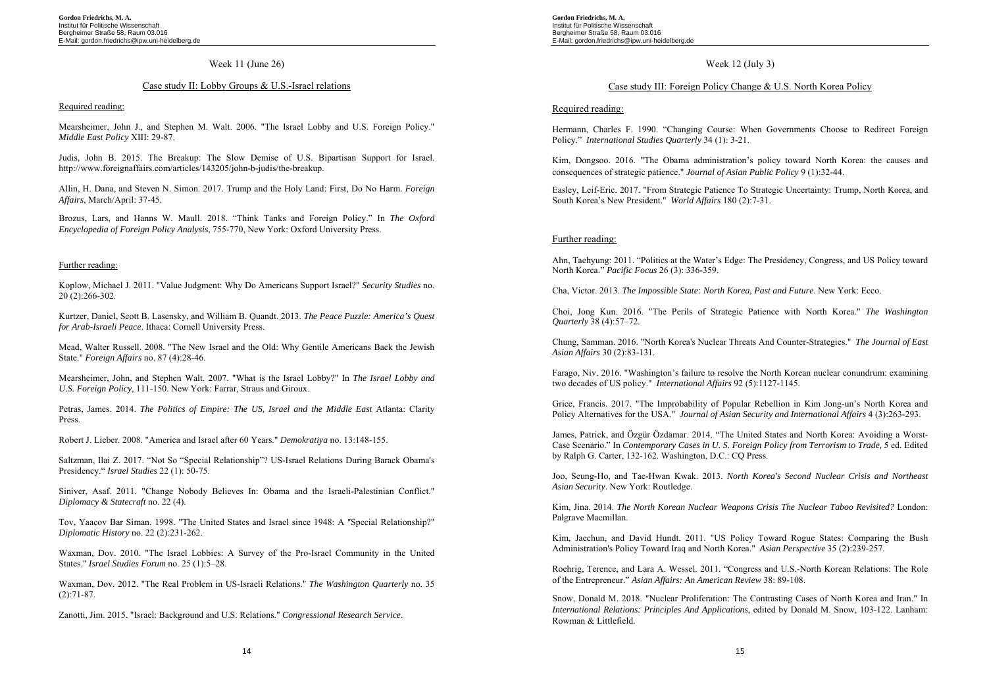### Week 11 (June 26)

### Case study II: Lobby Groups & U.S.-Israel relations

#### Required reading:

Mearsheimer, John J., and Stephen M. Walt. 2006. "The Israel Lobby and U.S. Foreign Policy." *Middle East Policy* XIII: 29-87.

Judis, John B. 2015. The Breakup: The Slow Demise of U.S. Bipartisan Support for Israel. http://www.foreignaffairs.com/articles/143205/john-b-judis/the-breakup.

Allin, H. Dana, and Steven N. Simon. 2017. Trump and the Holy Land: First, Do No Harm. *Foreign Affairs*, March/April: 37-45.

Brozus, Lars, and Hanns W. Maull. 2018. "Think Tanks and Foreign Policy." In *The Oxford Encyclopedia of Foreign Policy Analysis*, 755-770, New York: Oxford University Press.

#### Further reading:

Koplow, Michael J. 2011. "Value Judgment: Why Do Americans Support Israel?" *Security Studies* no. 20 (2):266-302.

Kurtzer, Daniel, Scott B. Lasensky, and William B. Quandt. 2013. *The Peace Puzzle: America's Quest for Arab-Israeli Peace*. Ithaca: Cornell University Press.

Mead, Walter Russell. 2008. "The New Israel and the Old: Why Gentile Americans Back the Jewish State." *Foreign Affairs* no. 87 (4):28-46.

Mearsheimer, John, and Stephen Walt. 2007. "What is the Israel Lobby?" In *The Israel Lobby and U.S. Foreign Policy*, 111-150. New York: Farrar, Straus and Giroux.

Petras, James. 2014. *The Politics of Empire: The US, Israel and the Middle East Atlanta: Clarity* Press.

Robert J. Lieber. 2008. "America and Israel after 60 Years." *Demokratiya* no. 13:148-155.

Saltzman, Ilai Z. 2017. "Not So "Special Relationship"? US-Israel Relations During Barack Obama's Presidency." *Israel Studies* 22 (1): 50-75.

Siniver, Asaf. 2011. "Change Nobody Believes In: Obama and the Israeli-Palestinian Conflict." *Diplomacy & Statecraft* no. 22 (4).

Tov, Yaacov Bar Siman. 1998. "The United States and Israel since 1948: A "Special Relationship?" *Diplomatic History* no. 22 (2):231-262.

Waxman, Dov. 2010. "The Israel Lobbies: A Survey of the Pro-Israel Community in the United States." *Israel Studies Forum* no. 25 (1):5–28.

Waxman, Dov. 2012. "The Real Problem in US-Israeli Relations." *The Washington Quarterly* no. 35 (2):71-87.

Zanotti, Jim. 2015. "Israel: Background and U.S. Relations." *Congressional Research Service*.

**Gordon Friedrichs, M. A.**  Institut für Politische Wissenschaft Bergheimer Straße 58, Raum 03.016 E-Mail: gordon.friedrichs@ipw.uni-heidelberg.de

# Week 12 (July 3)

# Case study III: Foreign Policy Change & U.S. North Korea Policy

#### Required reading:

Hermann, Charles F. 1990. "Changing Course: When Governments Choose to Redirect Foreign Policy." *International Studies Quarterly* 34 (1): 3-21.

Kim, Dongsoo. 2016. "The Obama administration's policy toward North Korea: the causes and consequences of strategic patience." *Journal of Asian Public Policy* 9 (1):32-44.

Easley, Leif-Eric. 2017. "From Strategic Patience To Strategic Uncertainty: Trump, North Korea, and South Korea's New President." *World Affairs* 180 (2):7-31.

### Further reading:

Ahn, Taehyung: 2011. "Politics at the Water's Edge: The Presidency, Congress, and US Policy toward North Korea." *Pacific Focus* 26 (3): 336-359.

Cha, Victor. 2013. *The Impossible State: North Korea, Past and Future*. New York: Ecco.

Choi, Jong Kun. 2016. "The Perils of Strategic Patience with North Korea." *The Washington Quarterly* 38 (4):57–72.

Chung, Samman. 2016. "North Korea's Nuclear Threats And Counter-Strategies." *The Journal of East Asian Affairs* 30 (2):83-131.

Farago, Niv. 2016. "Washington's failure to resolve the North Korean nuclear conundrum: examining two decades of US policy." *International Affairs* 92 (5):1127-1145.

Grice, Francis. 2017. "The Improbability of Popular Rebellion in Kim Jong-un's North Korea and Policy Alternatives for the USA." *Journal of Asian Security and International Affairs* 4 (3):263-293.

James, Patrick, and Özgür Özdamar. 2014. "The United States and North Korea: Avoiding a Worst-Case Scenario." In *Contemporary Cases in U. S. Foreign Policy from Terrorism to Trade,* 5 ed. Edited by Ralph G. Carter, 132-162. Washington, D.C.: CQ Press.

Joo, Seung-Ho, and Tae-Hwan Kwak. 2013. *North Korea's Second Nuclear Crisis and Northeast Asian Security*. New York: Routledge.

Kim, Jina. 2014. *The North Korean Nuclear Weapons Crisis The Nuclear Taboo Revisited?* London: Palgrave Macmillan.

Kim, Jaechun, and David Hundt. 2011. "US Policy Toward Rogue States: Comparing the Bush Administration's Policy Toward Iraq and North Korea." *Asian Perspective* 35 (2):239-257.

Roehrig, Terence, and Lara A. Wessel. 2011. "Congress and U.S.-North Korean Relations: The Role of the Entrepreneur." *Asian Affairs: An American Review* 38: 89-108.

Snow, Donald M. 2018. "Nuclear Proliferation: The Contrasting Cases of North Korea and Iran." In *International Relations: Principles And Applications*, edited by Donald M. Snow, 103-122. Lanham: Rowman & Littlefield.